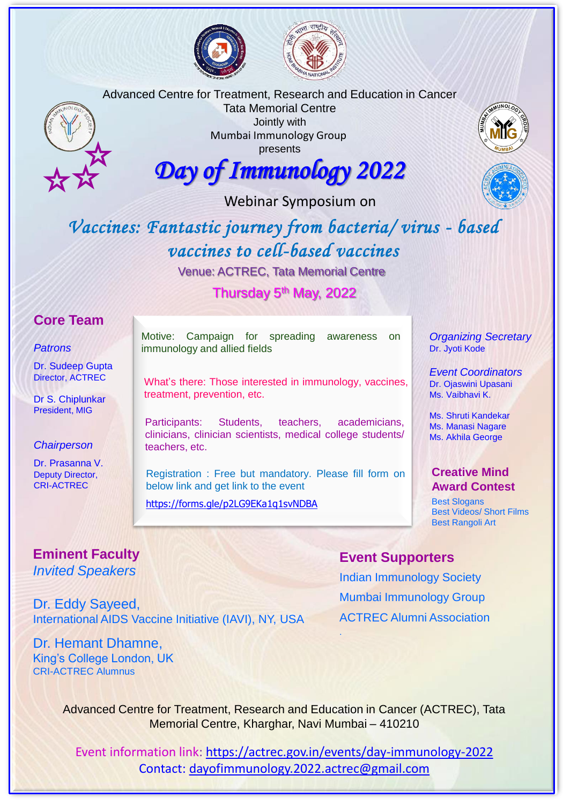





Tata Memorial Centre Jointly with Mumbai Immunology Group presents

### *Day of Immunology 2022*

Webinar Symposium on

### *Vaccines: Fantastic journey from bacteria/ virus - based vaccines to cell-based vaccines*

Venue: ACTREC, Tata Memorial Centre

Thursday 5<sup>th</sup> May, 2022

#### **Core Team**

#### *Patrons*

Dr. Sudeep Gupta Director, ACTREC

Dr S. Chiplunkar President, MIG

#### *Chairperson*

Dr. Prasanna V. Deputy Director, CRI-ACTREC

Motive: Campaign for spreading awareness on immunology and allied fields

What's there: Those interested in immunology, vaccines, treatment, prevention, etc.

Participants: Students, teachers, academicians, clinicians, clinician scientists, medical college students/ teachers, etc.

Registration : Free but mandatory. Please fill form on below link and get link to the event

<https://forms.gle/p2LG9EKa1q1svNDBA>

*Organizing Secretary* Dr. Jyoti Kode

*Event Coordinators* Dr. Ojaswini Upasani Ms. Vaibhavi K.

Ms. Shruti Kandekar Ms. Manasi Nagare Ms. Akhila George

#### **Creative Mind Award Contest**

Best Slogans Best Videos/ Short Films Best Rangoli Art

#### **Event Supporters**

Indian Immunology Society Mumbai Immunology Group ACTREC Alumni Association

Dr. Hemant Dhamne,

Advanced Centre for Treatment, Research and Education in Cancer (ACTREC), Tata Memorial Centre, Kharghar, Navi Mumbai – 410210

.

Event information link: <https://actrec.gov.in/events/day-immunology-2022> Contact: [dayofimmunology.2022.actrec@gmail.com](mailto:dayofimmunology.2022.actrec@gmail.com)

#### **Eminent Faculty**  *Invited Speakers*

Dr. Eddy Sayeed,

International AIDS Vaccine Initiative (IAVI), NY, USA

King's College London, UK CRI-ACTREC Alumnus